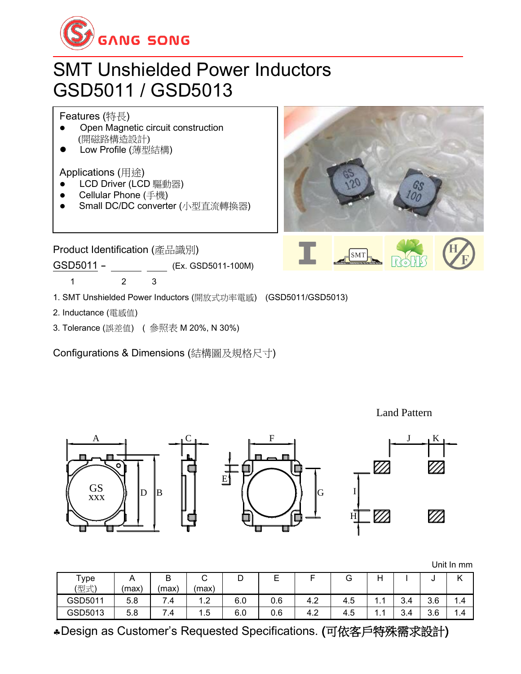

## SMT Unshielded Power Inductors GSD5011 / GSD5013

Features (特長)

- ⚫ Open Magnetic circuit construction (開磁路構造設計)
- ⚫ Low Profile (薄型結構)

Applications (用途)

- LCD Driver (LCD 驅動器)
- Cellular Phone (手機)
- Small DC/DC converter (小型直流轉換器)



GSD5011 - (Ex. GSD5011-100M)

1 2 3

- 1. SMT Unshielded Power Inductors (開放式功率電感) (GSD5011/GSD5013)
- 2. Inductance (電感值)
- 3. Tolerance (誤差值) ( 參照表 M 20%, N 30%)

 $A \qquad \qquad \Box C$ 

 $\begin{array}{cc} GS \\ XXX \end{array}$  D B

Configurations & Dimensions (結構圖及規格尺寸)

Land Pattern F  $J \subset K$ VII)  $E'$  $\overline{G}$ 

 $H$ 

V VII

**SMT** 



V D

| туре<br>(型式) | (max) | -<br>◡<br>(max) | ∽<br>(max)               | ◡   | –   |     | u           |        |     | ື   |     |
|--------------|-------|-----------------|--------------------------|-----|-----|-----|-------------|--------|-----|-----|-----|
| GSD5011      | 5.8   | 7.4             | $\overline{\phantom{a}}$ | 6.0 | 0.6 | 4.2 | -5<br>-4.5  | -<br>. | 3.4 | 3.6 | 1.4 |
| GSD5013      | 5.8   | –<br>7.4        | ں. ا                     | 6.0 | 0.6 | 4.2 | - 5<br>-4.5 | .      | 3.4 | 3.6 | 1.4 |

Design as Customer's Requested Specifications. (可依客戶特殊需求設計)